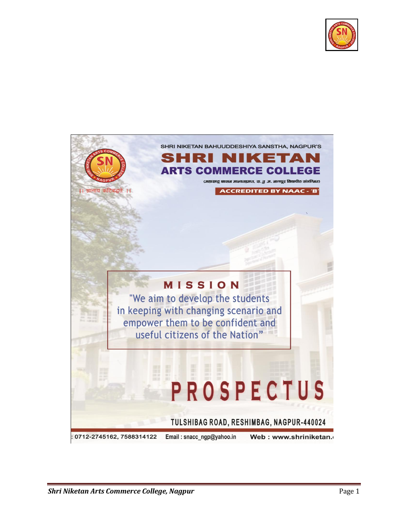

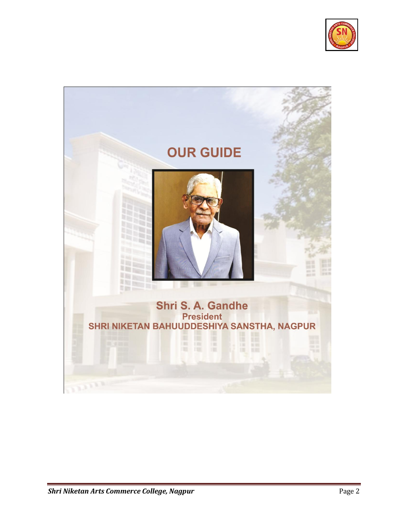

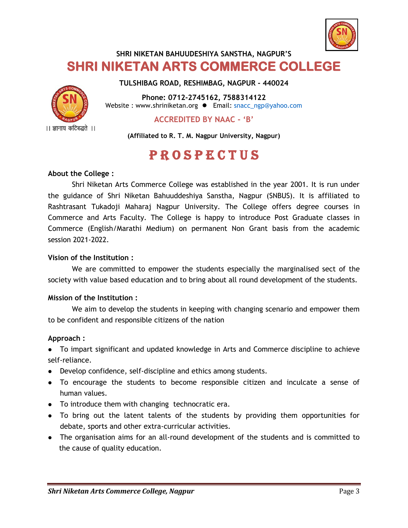

## **SHRI NIKETAN BAHUUDESHIYA SANSTHA, NAGPUR'S SHRI NIKETAN ARTS COMMERCE COLLEGE**

**TULSHIBAG ROAD, RESHIMBAG, NAGPUR - 440024**



**Phone: 0712-2745162, 7588314122**  Website : www.shriniketan.org <br>• Email: snacc\_ngp@yahoo.com

**ACCREDITED BY NAAC - 'B'**

**(Affiliated to R. T. M. Nagpur University, Nagpur)**

# **PROSPECTUS**

#### **About the College :**

Shri Niketan Arts Commerce College was established in the year 2001. It is run under the guidance of Shri Niketan Bahuuddeshiya Sanstha, Nagpur (SNBUS). It is affiliated to Rashtrasant Tukadoji Maharaj Nagpur University. The College offers degree courses in Commerce and Arts Faculty. The College is happy to introduce Post Graduate classes in Commerce (English/Marathi Medium) on permanent Non Grant basis from the academic session 2021-2022.

#### **Vision of the Institution :**

We are committed to empower the students especially the marginalised sect of the society with value based education and to bring about all round development of the students.

#### **Mission of the Institution :**

We aim to develop the students in keeping with changing scenario and empower them to be confident and responsible citizens of the nation

#### **Approach :**

 To impart significant and updated knowledge in Arts and Commerce discipline to achieve self-reliance.

- Develop confidence, self-discipline and ethics among students.
- To encourage the students to become responsible citizen and inculcate a sense of human values.
- To introduce them with changing technocratic era.
- To bring out the latent talents of the students by providing them opportunities for debate, sports and other extra-curricular activities.
- The organisation aims for an all-round development of the students and is committed to the cause of quality education.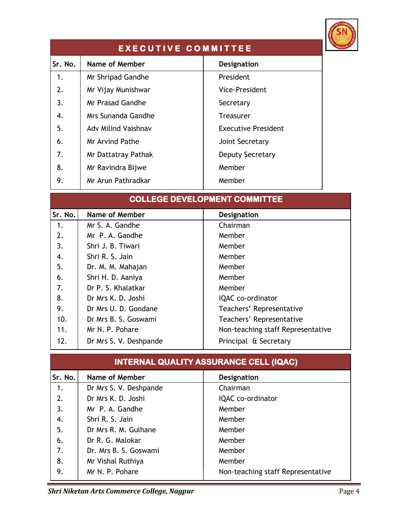

| <b>EXECUTIVE COMMITTEE</b> |                            |                            |  |  |
|----------------------------|----------------------------|----------------------------|--|--|
| Sr. No.                    | <b>Name of Member</b>      | <b>Designation</b>         |  |  |
| 1.                         | Mr Shripad Gandhe          | President                  |  |  |
| 2.                         | Mr Vijay Munishwar         | <b>Vice-President</b>      |  |  |
| 3.                         | Mr Prasad Gandhe           | Secretary                  |  |  |
| 4.                         | Mrs Sunanda Gandhe         | Treasurer                  |  |  |
| 5.                         | <b>Adv Milind Vaishnav</b> | <b>Executive President</b> |  |  |
| 6.                         | Mr Arvind Pathe            | Joint Secretary            |  |  |
| 7.                         | Mr Dattatray Pathak        | Deputy Secretary           |  |  |
| 8.                         | Mr Ravindra Bijwe          | Member                     |  |  |
| 9.                         | Mr Arun Pathradkar         | Member                     |  |  |

|         | <b>COLLEGE DEVELOPMENT COMMITTEE</b> |                                   |  |  |  |
|---------|--------------------------------------|-----------------------------------|--|--|--|
| Sr. No. | <b>Name of Member</b>                | Designation                       |  |  |  |
| 1.      | Mr S. A. Gandhe                      | Chairman                          |  |  |  |
| 2.      | Mr P. A. Gandhe                      | Member                            |  |  |  |
| 3.      | Shri J. B. Tiwari                    | Member                            |  |  |  |
| 4.      | Shri R. S. Jain                      | Member                            |  |  |  |
| 5.      | Dr. M. M. Mahajan                    | Member                            |  |  |  |
| 6.      | Shri H. D. Aaniya                    | Member                            |  |  |  |
| 7.      | Dr P. S. Khalatkar                   | Member                            |  |  |  |
| 8.      | Dr Mrs K. D. Joshi                   | IQAC co-ordinator                 |  |  |  |
| 9.      | Dr Mrs U. D. Gondane                 | Teachers' Representative          |  |  |  |
| 10.     | Dr Mrs B. S. Goswami                 | Teachers' Representative          |  |  |  |
| 11.     | Mr N. P. Pohare                      | Non-teaching staff Representative |  |  |  |
| 12.     | Dr Mrs S. V. Deshpande               | Principal & Secretary             |  |  |  |

| <b>INTERNAL QUALITY ASSURANCE CELL (IQAC)</b> |                        |                                   |  |  |
|-----------------------------------------------|------------------------|-----------------------------------|--|--|
| Sr. No.                                       | Name of Member         | Designation                       |  |  |
| 1.                                            | Dr Mrs S. V. Deshpande | Chairman                          |  |  |
| 2.                                            | Dr Mrs K. D. Joshi     | IQAC co-ordinator                 |  |  |
| 3.                                            | Mr P. A. Gandhe        | Member                            |  |  |
| 4.                                            | Shri R. S. Jain        | Member                            |  |  |
| 5.                                            | Dr Mrs R. M. Gulhane   | Member                            |  |  |
| 6.                                            | Dr R. G. Malokar       | Member                            |  |  |
| 7.                                            | Dr. Mrs B. S. Goswami  | Member                            |  |  |
| 8.                                            | Mr Vishal Ruthiya      | Member                            |  |  |
| 9.                                            | Mr N. P. Pohare        | Non-teaching staff Representative |  |  |

**Shri Niketan Arts Commerce College, Nagpur** Page 4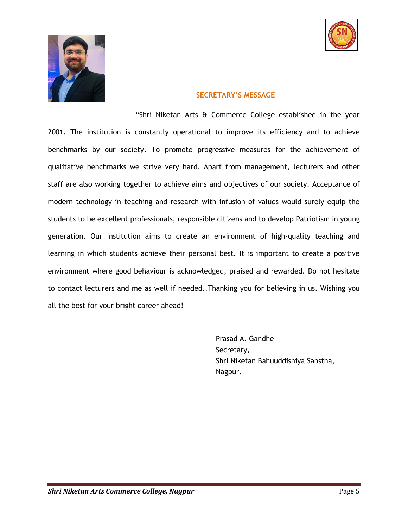



#### **SECRETARY'S MESSAGE**

"Shri Niketan Arts & Commerce College established in the year 2001. The institution is constantly operational to improve its efficiency and to achieve benchmarks by our society. To promote progressive measures for the achievement of qualitative benchmarks we strive very hard. Apart from management, lecturers and other staff are also working together to achieve aims and objectives of our society. Acceptance of modern technology in teaching and research with infusion of values would surely equip the students to be excellent professionals, responsible citizens and to develop Patriotism in young generation. Our institution aims to create an environment of high-quality teaching and learning in which students achieve their personal best. It is important to create a positive environment where good behaviour is acknowledged, praised and rewarded. Do not hesitate to contact lecturers and me as well if needed..Thanking you for believing in us. Wishing you all the best for your bright career ahead!

> Prasad A. Gandhe Secretary, Shri Niketan Bahuuddishiya Sanstha, Nagpur.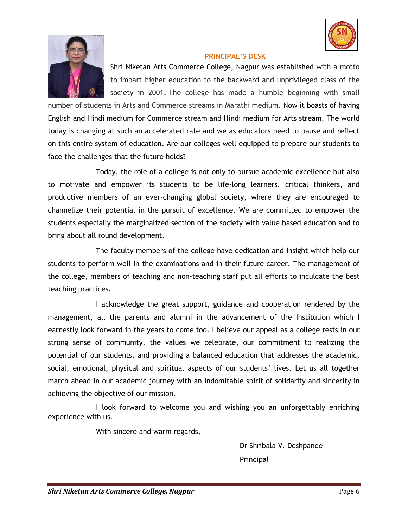



#### **PRINCIPAL'S DESK**

Shri Niketan Arts Commerce College, Nagpur was established with a motto to impart higher education to the backward and unprivileged class of the society in 2001. The college has made a humble beginning with small

number of students in Arts and Commerce streams in Marathi medium. Now it boasts of having English and Hindi medium for Commerce stream and Hindi medium for Arts stream. The world today is changing at such an accelerated rate and we as educators need to pause and reflect on this entire system of education. Are our colleges well equipped to prepare our students to face the challenges that the future holds?

Today, the role of a college is not only to pursue academic excellence but also to motivate and empower its students to be life-long learners, critical thinkers, and productive members of an ever-changing global society, where they are encouraged to channelize their potential in the pursuit of excellence. We are committed to empower the students especially the marginalized section of the society with value based education and to bring about all round development.

The faculty members of the college have dedication and insight which help our students to perform well in the examinations and in their future career. The management of the college, members of teaching and non-teaching staff put all efforts to inculcate the best teaching practices.

I acknowledge the great support, guidance and cooperation rendered by the management, all the parents and alumni in the advancement of the Institution which I earnestly look forward in the years to come too. I believe our appeal as a college rests in our strong sense of community, the values we celebrate, our commitment to realizing the potential of our students, and providing a balanced education that addresses the academic, social, emotional, physical and spiritual aspects of our students' lives. Let us all together march ahead in our academic journey with an indomitable spirit of solidarity and sincerity in achieving the objective of our mission.

I look forward to welcome you and wishing you an unforgettably enriching experience with us.

With sincere and warm regards,

Dr Shribala V. Deshpande Principal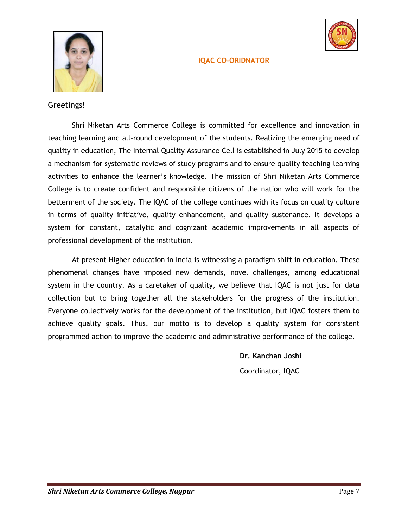#### **IQAC CO-ORIDNATOR**





#### Greetings!

Shri Niketan Arts Commerce College is committed for excellence and innovation in teaching learning and all-round development of the students. Realizing the emerging need of quality in education, The Internal Quality Assurance Cell is established in July 2015 to develop a mechanism for systematic reviews of study programs and to ensure quality teaching-learning activities to enhance the learner's knowledge. The mission of Shri Niketan Arts Commerce College is to create confident and responsible citizens of the nation who will work for the betterment of the society. The IQAC of the college continues with its focus on quality culture in terms of quality initiative, quality enhancement, and quality sustenance. It develops a system for constant, catalytic and cognizant academic improvements in all aspects of professional development of the institution.

At present Higher education in India is witnessing a paradigm shift in education. These phenomenal changes have imposed new demands, novel challenges, among educational system in the country. As a caretaker of quality, we believe that IQAC is not just for data collection but to bring together all the stakeholders for the progress of the institution. Everyone collectively works for the development of the institution, but IQAC fosters them to achieve quality goals. Thus, our motto is to develop a quality system for consistent programmed action to improve the academic and administrative performance of the college.

> **Dr. Kanchan Joshi** Coordinator, IQAC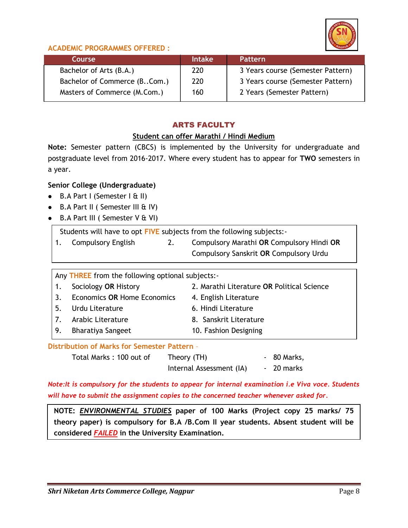

### **ACADEMIC PROGRAMMES OFFERED :**

| Course                       | <b>Intake</b> | <b>Pattern</b>                    |
|------------------------------|---------------|-----------------------------------|
| Bachelor of Arts (B.A.)      | 220           | 3 Years course (Semester Pattern) |
| Bachelor of Commerce (BCom.) | 220           | 3 Years course (Semester Pattern) |
| Masters of Commerce (M.Com.) | 160           | 2 Years (Semester Pattern)        |

## ARTS FACULTY

#### **Student can offer Marathi / Hindi Medium**

**Note:** Semester pattern (CBCS) is implemented by the University for undergraduate and postgraduate level from 2016-2017. Where every student has to appear for **TWO** semesters in a year.

#### **Senior College (Undergraduate)**

- $\bullet$  B.A Part I (Semester I & II)
- B.A Part II ( Semester III & IV)
- B.A Part III ( Semester V & VI)

Students will have to opt **FIVE** subjects from the following subjects:-

1. Compulsory English 2. Compulsory Marathi **OR** Compulsory Hindi **OR** Compulsory Sanskrit **OR** Compulsory Urdu

Any **THREE** from the following optional subjects:-

| 1. Sociology OR History        | 2. Marathi Literature OR Political Science |
|--------------------------------|--------------------------------------------|
| 3. Economics OR Home Economics | 4. English Literature                      |
| 5. Urdu Literature             | 6. Hindi Literature                        |
| 7. Arabic Literature           | 8. Sanskrit Literature                     |
| 9. Bharatiya Sangeet           | 10. Fashion Designing                      |

**Distribution of Marks for Semester Pattern** –

Total Marks: 100 out of Theory (TH) - 80 Marks, Internal Assessment (IA) - 20 marks

*Note:It is compulsory for the students to appear for internal examination i.e Viva voce. Students will have to submit the assignment copies to the concerned teacher whenever asked for.* 

**NOTE:** *ENVIRONMENTAL STUDIES* **paper of 100 Marks (Project copy 25 marks/ 75 theory paper) is compulsory for B.A /B.Com II year students. Absent student will be considered** *FAILED* **in the University Examination.**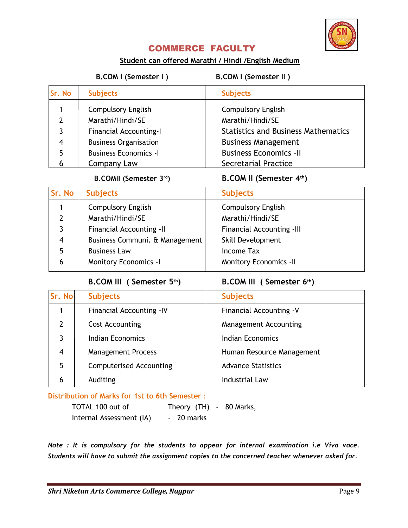

## COMMERCE FACULTY

#### **Student can offered Marathi / Hindi /English Medium**

 **B.COM I (Semester I ) B.COM I (Semester II )** 

| Sr. No        | <b>Subjects</b>               | <b>Subjects</b>                            |
|---------------|-------------------------------|--------------------------------------------|
|               | <b>Compulsory English</b>     | <b>Compulsory English</b>                  |
| $\mathcal{P}$ | Marathi/Hindi/SE              | Marathi/Hindi/SE                           |
| 3             | <b>Financial Accounting-I</b> | <b>Statistics and Business Mathematics</b> |
| 4             | <b>Business Organisation</b>  | <b>Business Management</b>                 |
| 5             | <b>Business Economics - I</b> | <b>Business Economics -II</b>              |
|               | Company Law                   | <b>Secretarial Practice</b>                |

#### **B.COMII (Semester 3rd) B.COM II (Semester 4th)**

| Sr. No        | <b>Subjects</b>                 | <b>Subjects</b>                  |
|---------------|---------------------------------|----------------------------------|
|               | <b>Compulsory English</b>       | <b>Compulsory English</b>        |
| $\mathcal{P}$ | Marathi/Hindi/SE                | Marathi/Hindi/SE                 |
| 3             | <b>Financial Accounting -II</b> | <b>Financial Accounting -III</b> |
| 4             | Business Communi. & Management  | Skill Development                |
| 5             | <b>Business Law</b>             | Income Tax                       |
| 6             | <b>Monitory Economics -I</b>    | <b>Monitory Economics -II</b>    |

 **B.COM III ( Semester 5th) B.COM III ( Semester 6th)** 

| Sr. No | <b>Subjects</b>                | <b>Subjects</b>           |
|--------|--------------------------------|---------------------------|
|        | Financial Accounting -IV       | Financial Accounting - V  |
| 2      | Cost Accounting                | Management Accounting     |
| 3      | <b>Indian Economics</b>        | Indian Economics          |
| 4      | <b>Management Process</b>      | Human Resource Management |
| 5      | <b>Computerised Accounting</b> | <b>Advance Statistics</b> |
| 6      | Auditing                       | <b>Industrial Law</b>     |

**Distribution of Marks for 1st to 6th Semester** :

TOTAL 100 out of Theory (TH) - 80 Marks, Internal Assessment (IA) - 20 marks

*Note : It is compulsory for the students to appear for internal examination i.e Viva voce. Students will have to submit the assignment copies to the concerned teacher whenever asked for.*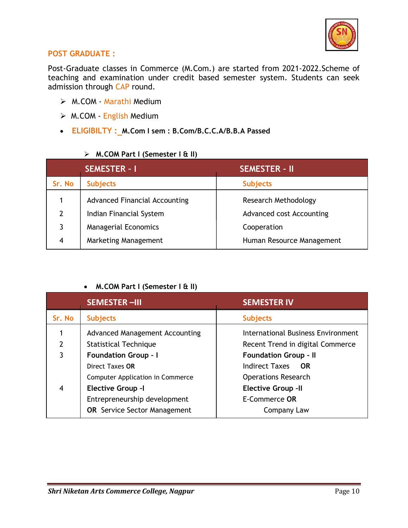

#### **POST GRADUATE :**

Post-Graduate classes in Commerce (M.Com.) are started from 2021-2022.Scheme of teaching and examination under credit based semester system. Students can seek admission through CAP round.

- M.COM Marathi Medium
- M.COM English Medium
- **ELIGIBILTY : M.Com I sem : B.Com/B.C.C.A/B.B.A Passed**

#### **M.COM Part I (Semester I & II)**

| <b>SEMESTER - I</b> |                                      | <b>SEMESTER - II</b>        |
|---------------------|--------------------------------------|-----------------------------|
| Sr. No              | <b>Subjects</b>                      | <b>Subjects</b>             |
|                     | <b>Advanced Financial Accounting</b> | <b>Research Methodology</b> |
| 2                   | Indian Financial System              | Advanced cost Accounting    |
| 3                   | <b>Managerial Economics</b>          | Cooperation                 |
| 4                   | Marketing Management                 | Human Resource Management   |

#### **M.COM Part I (Semester I & II)**

|        | <b>SEMESTER-III</b>                     | <b>SEMESTER IV</b>                 |
|--------|-----------------------------------------|------------------------------------|
| Sr. No | <b>Subjects</b>                         | <b>Subjects</b>                    |
|        | <b>Advanced Management Accounting</b>   | International Business Environment |
| 2      | <b>Statistical Technique</b>            | Recent Trend in digital Commerce   |
| 3      | <b>Foundation Group - I</b>             | <b>Foundation Group - II</b>       |
|        | Direct Taxes OR                         | <b>Indirect Taxes</b><br><b>OR</b> |
|        | <b>Computer Application in Commerce</b> | <b>Operations Research</b>         |
| 4      | <b>Elective Group -I</b>                | <b>Elective Group -II</b>          |
|        | Entrepreneurship development            | E-Commerce OR                      |
|        | <b>OR</b> Service Sector Management     | Company Law                        |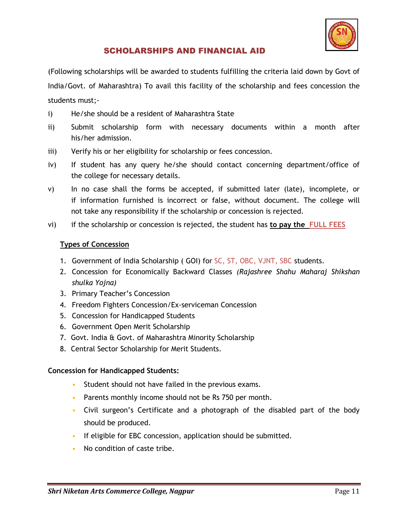

## SCHOLARSHIPS AND FINANCIAL AID

(Following scholarships will be awarded to students fulfilling the criteria laid down by Govt of India/Govt. of Maharashtra) To avail this facility of the scholarship and fees concession the students must;-

- i) He/she should be a resident of Maharashtra State
- ii) Submit scholarship form with necessary documents within a month after his/her admission.
- iii) Verify his or her eligibility for scholarship or fees concession.
- iv) If student has any query he/she should contact concerning department/office of the college for necessary details.
- v) In no case shall the forms be accepted, if submitted later (late), incomplete, or if information furnished is incorrect or false, without document. The college will not take any responsibility if the scholarship or concession is rejected.
- vi) if the scholarship or concession is rejected, the student has **to pay the FULL FEES**

#### **Types of Concession**

- 1. Government of India Scholarship ( GOI) for SC, ST, OBC, VJNT, SBC students.
- 2. Concession for Economically Backward Classes *(Rajashree Shahu Maharaj Shikshan shulka Yojna)*
- 3. Primary Teacher's Concession
- 4. Freedom Fighters Concession/Ex-serviceman Concession
- 5. Concession for Handicapped Students
- 6. Government Open Merit Scholarship
- 7. Govt. India & Govt. of Maharashtra Minority Scholarship
- 8. Central Sector Scholarship for Merit Students.

#### **Concession for Handicapped Students:**

- Student should not have failed in the previous exams.
- Parents monthly income should not be Rs 750 per month.
- Civil surgeon's Certificate and a photograph of the disabled part of the body should be produced.
- If eligible for EBC concession, application should be submitted.
- No condition of caste tribe.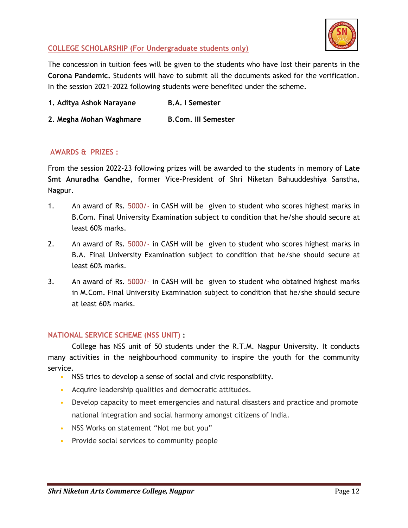

#### **COLLEGE SCHOLARSHIP (For Undergraduate students only)**

The concession in tuition fees will be given to the students who have lost their parents in the **Corona Pandemic.** Students will have to submit all the documents asked for the verification. In the session 2021-2022 following students were benefited under the scheme.

**1. Aditya Ashok Narayane B.A. I Semester**

**2. Megha Mohan Waghmare B.Com. III Semester**

#### **AWARDS & PRIZES :**

From the session 2022-23 following prizes will be awarded to the students in memory of **Late Smt Anuradha Gandhe**, former Vice-President of Shri Niketan Bahuuddeshiya Sanstha, Nagpur.

- 1. An award of Rs. 5000/- in CASH will be given to student who scores highest marks in B.Com. Final University Examination subject to condition that he/she should secure at least 60% marks.
- 2. An award of Rs. 5000/- in CASH will be given to student who scores highest marks in B.A. Final University Examination subject to condition that he/she should secure at least 60% marks.
- 3. An award of Rs. 5000/- in CASH will be given to student who obtained highest marks in M.Com. Final University Examination subject to condition that he/she should secure at least 60% marks.

#### **NATIONAL SERVICE SCHEME (NSS UNIT) :**

College has NSS unit of 50 students under the R.T.M. Nagpur University. It conducts many activities in the neighbourhood community to inspire the youth for the community service.

- NSS tries to develop a sense of social and civic responsibility.
- Acquire leadership qualities and democratic attitudes.
- Develop capacity to meet emergencies and natural disasters and practice and promote national integration and social harmony amongst citizens of India.
- NSS Works on statement "Not me but you"
- Provide social services to community people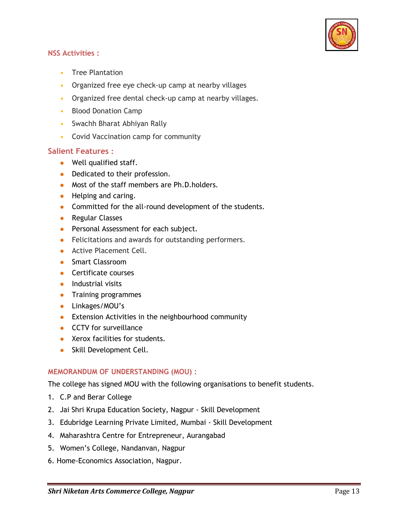

#### **NSS Activities :**

- Tree Plantation
- Organized free eye check-up camp at nearby villages
- Organized free dental check-up camp at nearby villages.
- Blood Donation Camp
- Swachh Bharat Abhiyan Rally
- Covid Vaccination camp for community

#### **Salient Features :**

- Well qualified staff.
- Dedicated to their profession.
- Most of the staff members are Ph.D.holders.
- Helping and caring.
- Committed for the all-round development of the students.
- **•** Regular Classes
- **•** Personal Assessment for each subject.
- Felicitations and awards for outstanding performers.
- **Active Placement Cell.**
- **Smart Classroom**
- **Certificate courses**
- $\bullet$  Industrial visits
- **•** Training programmes
- **•** Linkages/MOU's
- **•** Extension Activities in the neighbourhood community
- **CCTV** for surveillance
- Xerox facilities for students.
- Skill Development Cell.

#### **MEMORANDUM OF UNDERSTANDING (MOU) :**

The college has signed MOU with the following organisations to benefit students.

- 1. C.P and Berar College
- 2. Jai Shri Krupa Education Society, Nagpur Skill Development
- 3. Edubridge Learning Private Limited, Mumbai Skill Development
- 4. Maharashtra Centre for Entrepreneur, Aurangabad
- 5. Women's College, Nandanvan, Nagpur
- 6. Home-Economics Association, Nagpur.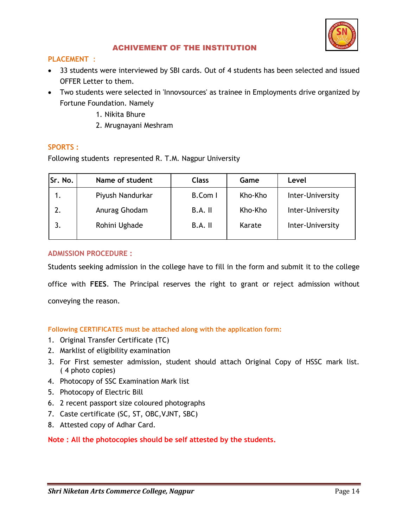

#### ACHIVEMENT OF THE INSTITUTION

#### **PLACEMENT** :

- 33 students were interviewed by SBI cards. Out of 4 students has been selected and issued OFFER Letter to them.
- Two students were selected in 'Innovsources' as trainee in Employments drive organized by Fortune Foundation. Namely
	- 1. Nikita Bhure
	- 2. Mrugnayani Meshram

#### **SPORTS :**

Following students represented R. T.M. Nagpur University

| Sr. No. | Name of student  | <b>Class</b> | Game<br>Level |                  |
|---------|------------------|--------------|---------------|------------------|
| 1.      | Piyush Nandurkar | B.Com I      | Kho-Kho       | Inter-University |
| 2.      | Anurag Ghodam    | $B.A.$ II    | Kho-Kho       | Inter-University |
| 3.      | Rohini Ughade    | $B.A.$ II    | Karate        | Inter-University |
|         |                  |              |               |                  |

#### **ADMISSION PROCEDURE :**

Students seeking admission in the college have to fill in the form and submit it to the college office with **FEES**. The Principal reserves the right to grant or reject admission without conveying the reason.

#### **Following CERTIFICATES must be attached along with the application form:**

- 1. Original Transfer Certificate (TC)
- 2. Marklist of eligibility examination
- 3. For First semester admission, student should attach Original Copy of HSSC mark list. ( 4 photo copies)
- 4. Photocopy of SSC Examination Mark list
- 5. Photocopy of Electric Bill
- 6. 2 recent passport size coloured photographs
- 7. Caste certificate (SC, ST, OBC,VJNT, SBC)
- 8. Attested copy of Adhar Card.

#### **Note : All the photocopies should be self attested by the students.**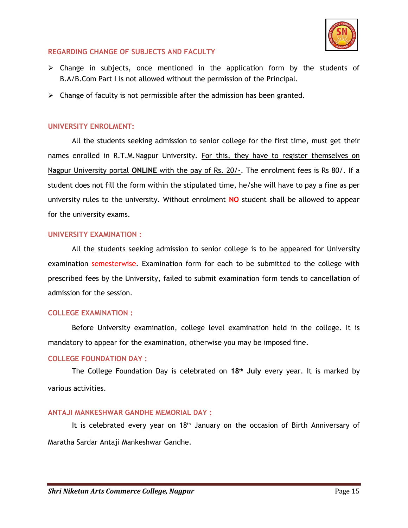

#### **REGARDING CHANGE OF SUBJECTS AND FACULTY**

- $\triangleright$  Change in subjects, once mentioned in the application form by the students of B.A/B.Com Part I is not allowed without the permission of the Principal.
- $\triangleright$  Change of faculty is not permissible after the admission has been granted.

#### **UNIVERSITY ENROLMENT:**

All the students seeking admission to senior college for the first time, must get their names enrolled in R.T.M.Nagpur University. For this, they have to register themselves on Nagpur University portal **ONLINE** with the pay of Rs. 20/-. The enrolment fees is Rs 80/. If a student does not fill the form within the stipulated time, he/she will have to pay a fine as per university rules to the university. Without enrolment **NO** student shall be allowed to appear for the university exams.

#### **UNIVERSITY EXAMINATION :**

All the students seeking admission to senior college is to be appeared for University examination semesterwise. Examination form for each to be submitted to the college with prescribed fees by the University, failed to submit examination form tends to cancellation of admission for the session.

#### **COLLEGE EXAMINATION :**

Before University examination, college level examination held in the college. It is mandatory to appear for the examination, otherwise you may be imposed fine.

#### **COLLEGE FOUNDATION DAY :**

The College Foundation Day is celebrated on **18th July** every year. It is marked by various activities.

#### **ANTAJI MANKESHWAR GANDHE MEMORIAL DAY :**

It is celebrated every year on  $18<sup>th</sup>$  January on the occasion of Birth Anniversary of Maratha Sardar Antaji Mankeshwar Gandhe.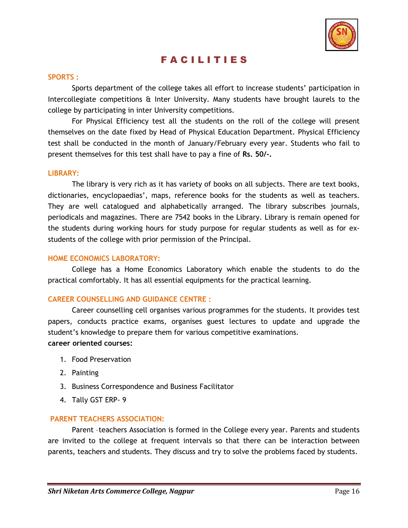

## F A C I L I T I E S

#### **SPORTS :**

Sports department of the college takes all effort to increase students' participation in Intercollegiate competitions & Inter University. Many students have brought laurels to the college by participating in inter University competitions.

For Physical Efficiency test all the students on the roll of the college will present themselves on the date fixed by Head of Physical Education Department. Physical Efficiency test shall be conducted in the month of January/February every year. Students who fail to present themselves for this test shall have to pay a fine of **Rs. 50/-.**

#### **LIBRARY:**

The library is very rich as it has variety of books on all subjects. There are text books, dictionaries, encyclopaedias', maps, reference books for the students as well as teachers. They are well catalogued and alphabetically arranged. The library subscribes journals, periodicals and magazines. There are 7542 books in the Library. Library is remain opened for the students during working hours for study purpose for regular students as well as for exstudents of the college with prior permission of the Principal.

#### **HOME ECONOMICS LABORATORY:**

College has a Home Economics Laboratory which enable the students to do the practical comfortably. It has all essential equipments for the practical learning.

#### **CAREER COUNSELLING AND GUIDANCE CENTRE :**

Career counselling cell organises various programmes for the students. It provides test papers, conducts practice exams, organises guest lectures to update and upgrade the student's knowledge to prepare them for various competitive examinations. **career oriented courses:**

- 1. Food Preservation
- 2. Painting
- 3. Business Correspondence and Business Facilitator
- 4. Tally GST ERP- 9

#### **PARENT TEACHERS ASSOCIATION:**

Parent –teachers Association is formed in the College every year. Parents and students are invited to the college at frequent intervals so that there can be interaction between parents, teachers and students. They discuss and try to solve the problems faced by students.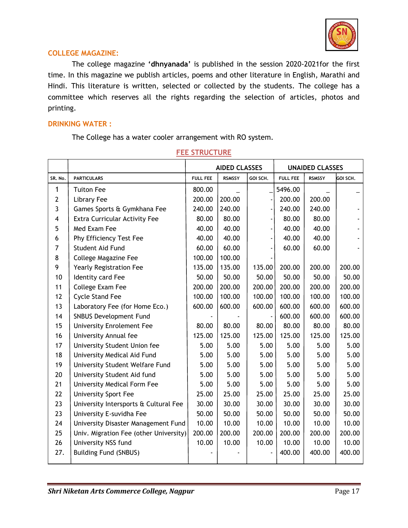

#### **COLLEGE MAGAZINE:**

The college magazine **'dhnyanada'** is published in the session 2020-2021for the first time. In this magazine we publish articles, poems and other literature in English, Marathi and Hindi. This literature is written, selected or collected by the students. The college has a committee which reserves all the rights regarding the selection of articles, photos and printing.

#### **DRINKING WATER :**

The College has a water cooler arrangement with RO system.

|         |                                        | <b>AIDED CLASSES</b> |               | <b>UNAIDED CLASSES</b> |                 |               |          |
|---------|----------------------------------------|----------------------|---------------|------------------------|-----------------|---------------|----------|
| SR. No. | <b>PARTICULARS</b>                     | <b>FULL FEE</b>      | <b>RSMSSY</b> | GOI SCH.               | <b>FULL FEE</b> | <b>RSMSSY</b> | GOI SCH. |
| 1       | <b>Tuiton Fee</b>                      | 800.00               |               |                        | 5496.00         |               |          |
| 2       | <b>Library Fee</b>                     | 200.00               | 200.00        |                        | 200.00          | 200.00        |          |
| 3       | Games Sports & Gymkhana Fee            | 240.00               | 240.00        |                        | 240.00          | 240.00        |          |
| 4       | <b>Extra Curricular Activity Fee</b>   | 80.00                | 80.00         |                        | 80.00           | 80.00         |          |
| 5       | Med Exam Fee                           | 40.00                | 40.00         |                        | 40.00           | 40.00         |          |
| 6       | Phy Efficiency Test Fee                | 40.00                | 40.00         |                        | 40.00           | 40.00         |          |
| 7       | Student Aid Fund                       | 60.00                | 60.00         |                        | 60.00           | 60.00         |          |
| 8       | College Magazine Fee                   | 100.00               | 100.00        |                        |                 |               |          |
| 9       | Yearly Registration Fee                | 135.00               | 135.00        | 135.00                 | 200.00          | 200.00        | 200.00   |
| 10      | Identity card Fee                      | 50.00                | 50.00         | 50.00                  | 50.00           | 50.00         | 50.00    |
| 11      | College Exam Fee                       | 200.00               | 200.00        | 200.00                 | 200.00          | 200.00        | 200.00   |
| 12      | <b>Cycle Stand Fee</b>                 | 100.00               | 100.00        | 100.00                 | 100.00          | 100.00        | 100.00   |
| 13      | Laboratory Fee (for Home Eco.)         | 600.00               | 600.00        | 600.00                 | 600.00          | 600.00        | 600.00   |
| 14      | <b>SNBUS Development Fund</b>          |                      |               |                        | 600.00          | 600.00        | 600.00   |
| 15      | <b>University Enrolement Fee</b>       | 80.00                | 80.00         | 80.00                  | 80.00           | 80.00         | 80.00    |
| 16      | University Annual fee                  | 125.00               | 125.00        | 125.00                 | 125.00          | 125.00        | 125.00   |
| 17      | University Student Union fee           | 5.00                 | 5.00          | 5.00                   | 5.00            | 5.00          | 5.00     |
| 18      | University Medical Aid Fund            | 5.00                 | 5.00          | 5.00                   | 5.00            | 5.00          | 5.00     |
| 19      | University Student Welfare Fund        | 5.00                 | 5.00          | 5.00                   | 5.00            | 5.00          | 5.00     |
| 20      | University Student Aid fund            | 5.00                 | 5.00          | 5.00                   | 5.00            | 5.00          | 5.00     |
| 21      | University Medical Form Fee            | 5.00                 | 5.00          | 5.00                   | 5.00            | 5.00          | 5.00     |
| 22      | <b>University Sport Fee</b>            | 25.00                | 25.00         | 25.00                  | 25.00           | 25.00         | 25.00    |
| 23      | University Intersports & Cultural Fee  | 30.00                | 30.00         | 30.00                  | 30.00           | 30.00         | 30.00    |
| 23      | University E-suvidha Fee               | 50.00                | 50.00         | 50.00                  | 50.00           | 50.00         | 50.00    |
| 24      | University Disaster Management Fund    | 10.00                | 10.00         | 10.00                  | 10.00           | 10.00         | 10.00    |
| 25      | Univ. Migration Fee (other University) | 200.00               | 200.00        | 200.00                 | 200.00          | 200.00        | 200.00   |
| 26      | University NSS fund                    | 10.00                | 10.00         | 10.00                  | 10.00           | 10.00         | 10.00    |
| 27.     | <b>Building Fund (SNBUS)</b>           |                      |               |                        | 400.00          | 400.00        | 400.00   |

#### **FEE STRUCTURE**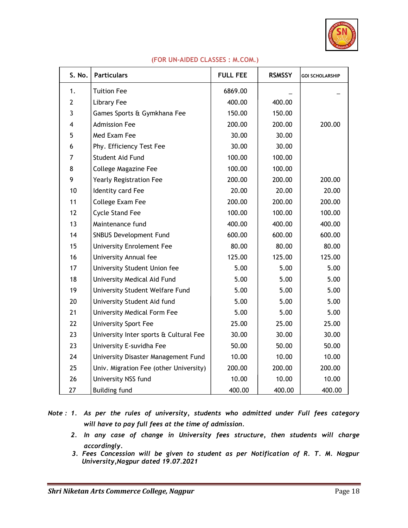

| S. No.         | <b>Particulars</b>                     | <b>FULL FEE</b> | <b>RSMSSY</b> | <b>GOI SCHOLARSHIP</b> |
|----------------|----------------------------------------|-----------------|---------------|------------------------|
| 1.             | <b>Tuition Fee</b>                     | 6869.00         |               |                        |
| $\overline{2}$ | Library Fee                            | 400.00          | 400.00        |                        |
| 3              | Games Sports & Gymkhana Fee            | 150.00          | 150.00        |                        |
| 4              | <b>Admission Fee</b>                   | 200.00          | 200.00        | 200.00                 |
| 5              | Med Exam Fee                           | 30.00           | 30.00         |                        |
| 6              | Phy. Efficiency Test Fee               | 30.00           | 30.00         |                        |
| 7              | Student Aid Fund                       | 100.00          | 100.00        |                        |
| 8              | <b>College Magazine Fee</b>            | 100.00          | 100.00        |                        |
| 9              | Yearly Registration Fee                | 200.00          | 200.00        | 200.00                 |
| 10             | Identity card Fee                      | 20.00           | 20.00         | 20.00                  |
| 11             | College Exam Fee                       | 200.00          | 200.00        | 200.00                 |
| 12             | <b>Cycle Stand Fee</b>                 | 100.00          | 100.00        | 100.00                 |
| 13             | Maintenance fund                       | 400.00          | 400.00        | 400.00                 |
| 14             | SNBUS Development Fund                 | 600.00          | 600.00        | 600.00                 |
| 15             | <b>University Enrolement Fee</b>       | 80.00           | 80.00         | 80.00                  |
| 16             | University Annual fee                  | 125.00          | 125.00        | 125.00                 |
| 17             | University Student Union fee           | 5.00            | 5.00          | 5.00                   |
| 18             | University Medical Aid Fund            | 5.00            | 5.00          | 5.00                   |
| 19             | University Student Welfare Fund        | 5.00            | 5.00          | 5.00                   |
| 20             | University Student Aid fund            | 5.00            | 5.00          | 5.00                   |
| 21             | University Medical Form Fee            | 5.00            | 5.00          | 5.00                   |
| 22             | <b>University Sport Fee</b>            | 25.00           | 25.00         | 25.00                  |
| 23             | University Inter sports & Cultural Fee | 30.00           | 30.00         | 30.00                  |
| 23             | University E-suvidha Fee               | 50.00           | 50.00         | 50.00                  |
| 24             | University Disaster Management Fund    | 10.00           | 10.00         | 10.00                  |
| 25             | Univ. Migration Fee (other University) | 200.00          | 200.00        | 200.00                 |
| 26             | University NSS fund                    | 10.00           | 10.00         | 10.00                  |
| 27             | <b>Building fund</b>                   | 400.00          | 400.00        | 400.00                 |

#### **(FOR UN-AIDED CLASSES : M.COM.)**

*Note : 1. As per the rules of university, students who admitted under Full fees category will have to pay full fees at the time of admission.*

- *2. In any case of change in University fees structure, then students will charge accordingly.*
- *3. Fees Concession will be given to student as per Notification of R. T. M. Nagpur University,Nagpur dated 19.07.2021*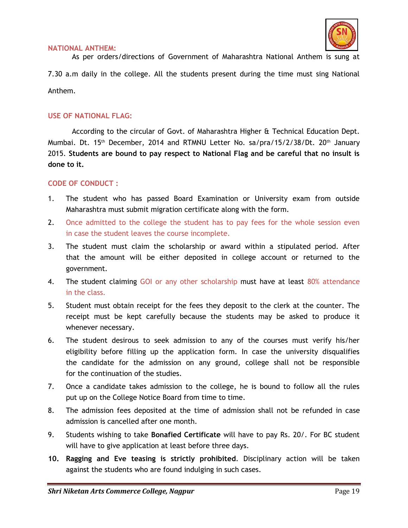

#### **NATIONAL ANTHEM:**

As per orders/directions of Government of Maharashtra National Anthem is sung at

7.30 a.m daily in the college. All the students present during the time must sing National Anthem.

#### **USE OF NATIONAL FLAG:**

According to the circular of Govt. of Maharashtra Higher & Technical Education Dept. Mumbai. Dt. 15<sup>th</sup> December, 2014 and RTMNU Letter No. sa/pra/15/2/38/Dt. 20<sup>th</sup> January 2015. **Students are bound to pay respect to National Flag and be careful that no insult is done to it.**

#### **CODE OF CONDUCT :**

- 1. The student who has passed Board Examination or University exam from outside Maharashtra must submit migration certificate along with the form.
- 2. Once admitted to the college the student has to pay fees for the whole session even in case the student leaves the course incomplete.
- 3. The student must claim the scholarship or award within a stipulated period. After that the amount will be either deposited in college account or returned to the government.
- 4. The student claiming GOI or any other scholarship must have at least 80% attendance in the class.
- 5. Student must obtain receipt for the fees they deposit to the clerk at the counter. The receipt must be kept carefully because the students may be asked to produce it whenever necessary.
- 6. The student desirous to seek admission to any of the courses must verify his/her eligibility before filling up the application form. In case the university disqualifies the candidate for the admission on any ground, college shall not be responsible for the continuation of the studies.
- 7. Once a candidate takes admission to the college, he is bound to follow all the rules put up on the College Notice Board from time to time.
- 8. The admission fees deposited at the time of admission shall not be refunded in case admission is cancelled after one month.
- 9. Students wishing to take **Bonafied Certificate** will have to pay Rs. 20/. For BC student will have to give application at least before three days.
- **10. Ragging and Eve teasing is strictly prohibited**. Disciplinary action will be taken against the students who are found indulging in such cases.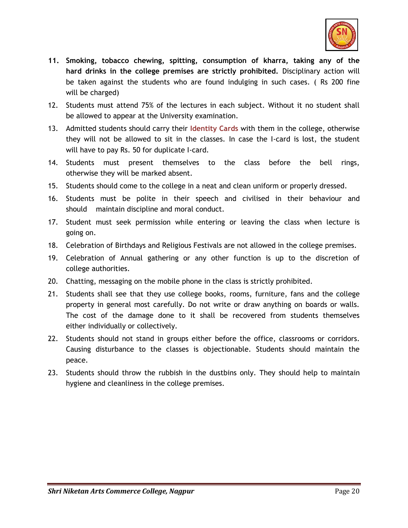

- **11. Smoking, tobacco chewing, spitting, consumption of kharra, taking any of the hard drinks in the college premises are strictly prohibited.** Disciplinary action will be taken against the students who are found indulging in such cases. ( Rs 200 fine will be charged)
- 12. Students must attend 75% of the lectures in each subject. Without it no student shall be allowed to appear at the University examination.
- 13. Admitted students should carry their **Identity Cards** with them in the college, otherwise they will not be allowed to sit in the classes. In case the I-card is lost, the student will have to pay Rs. 50 for duplicate I-card.
- 14. Students must present themselves to the class before the bell rings, otherwise they will be marked absent.
- 15. Students should come to the college in a neat and clean uniform or properly dressed.
- 16. Students must be polite in their speech and civilised in their behaviour and should maintain discipline and moral conduct.
- 17. Student must seek permission while entering or leaving the class when lecture is going on.
- 18. Celebration of Birthdays and Religious Festivals are not allowed in the college premises.
- 19. Celebration of Annual gathering or any other function is up to the discretion of college authorities.
- 20. Chatting, messaging on the mobile phone in the class is strictly prohibited.
- 21. Students shall see that they use college books, rooms, furniture, fans and the college property in general most carefully. Do not write or draw anything on boards or walls. The cost of the damage done to it shall be recovered from students themselves either individually or collectively.
- 22. Students should not stand in groups either before the office, classrooms or corridors. Causing disturbance to the classes is objectionable. Students should maintain the peace.
- 23. Students should throw the rubbish in the dustbins only. They should help to maintain hygiene and cleanliness in the college premises.